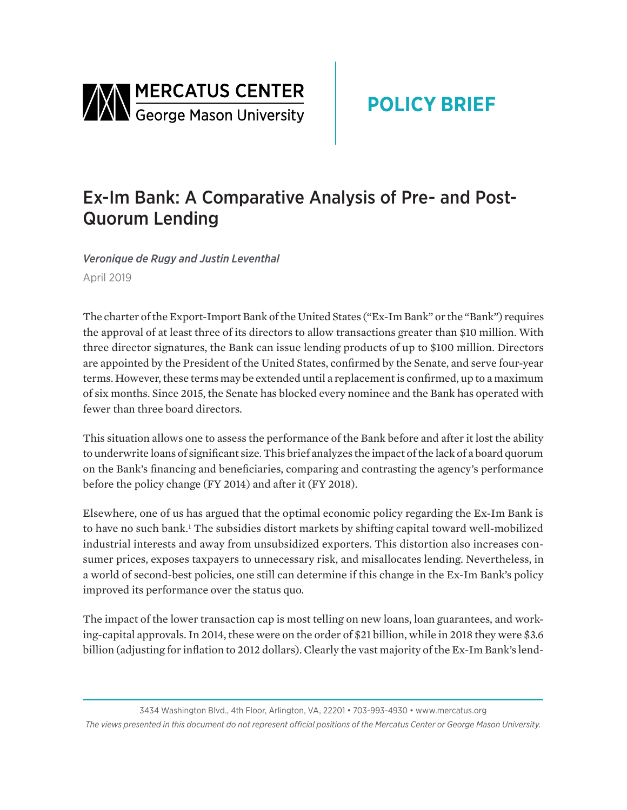

# Ex-Im Bank: A Comparative Analysis of Pre- and Post-Quorum Lending

*Veronique de Rugy and Justin Leventhal* April 2019

The charter of the Export-Import Bank of the United States ("Ex-Im Bank" or the "Bank") requires the approval of at least three of its directors to allow transactions greater than \$10 million. With three director signatures, the Bank can issue lending products of up to \$100 million. Directors are appointed by the President of the United States, confirmed by the Senate, and serve four-year terms. However, these terms may be extended until a replacement is confirmed, up to a maximum of six months. Since 2015, the Senate has blocked every nominee and the Bank has operated with fewer than three board directors.

This situation allows one to assess the performance of the Bank before and after it lost the ability to underwrite loans of significant size. This brief analyzes the impact of the lack of a board quorum on the Bank's financing and beneficiaries, comparing and contrasting the agency's performance before the policy change (FY 2014) and after it (FY 2018).

Elsewhere, one of us has argued that the optimal economic policy regarding the Ex-Im Bank is to have no such bank.<sup>1</sup> The subsidies distort markets by shifting capital toward well-mobilized industrial interests and away from unsubsidized exporters. This distortion also increases consumer prices, exposes taxpayers to unnecessary risk, and misallocates lending. Nevertheless, in a world of second-best policies, one still can determine if this change in the Ex-Im Bank's policy improved its performance over the status quo.

The impact of the lower transaction cap is most telling on new loans, loan guarantees, and working-capital approvals. In 2014, these were on the order of \$21 billion, while in 2018 they were \$3.6 billion (adjusting for inflation to 2012 dollars). Clearly the vast majority of the Ex-Im Bank's lend-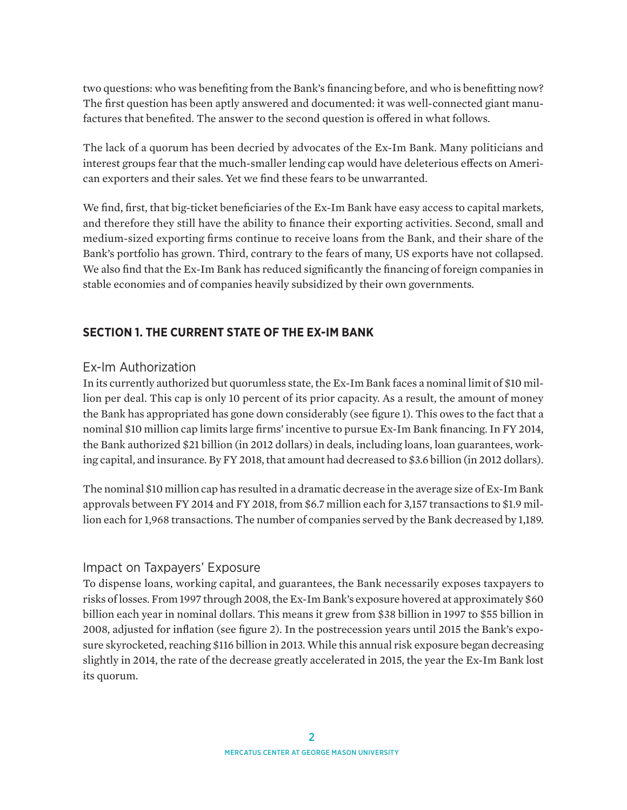two questions: who was benefiting from the Bank's financing before, and who is benefitting now? The first question has been aptly answered and documented: it was well-connected giant manufactures that benefited. The answer to the second question is offered in what follows.

The lack of a quorum has been decried by advocates of the Ex-Im Bank. Many politicians and interest groups fear that the much-smaller lending cap would have deleterious effects on American exporters and their sales. Yet we find these fears to be unwarranted.

We find, first, that big-ticket beneficiaries of the Ex-Im Bank have easy access to capital markets, and therefore they still have the ability to finance their exporting activities. Second, small and medium-sized exporting firms continue to receive loans from the Bank, and their share of the Bank's portfolio has grown. Third, contrary to the fears of many, US exports have not collapsed. We also find that the Ex-Im Bank has reduced significantly the financing of foreign companies in stable economies and of companies heavily subsidized by their own governments.

## **SECTION 1. THE CURRENT STATE OF THE EX-IM BANK**

#### Ex-Im Authorization

In its currently authorized but quorumless state, the Ex-Im Bank faces a nominal limit of \$10 million per deal. This cap is only 10 percent of its prior capacity. As a result, the amount of money the Bank has appropriated has gone down considerably (see figure 1). This owes to the fact that a nominal \$10 million cap limits large firms' incentive to pursue Ex-Im Bank financing. In FY 2014, the Bank authorized \$21 billion (in 2012 dollars) in deals, including loans, loan guarantees, working capital, and insurance. By FY 2018, that amount had decreased to \$3.6 billion (in 2012 dollars).

The nominal \$10 million cap has resulted in a dramatic decrease in the average size of Ex-Im Bank approvals between FY 2014 and FY 2018, from \$6.7 million each for 3,157 transactions to \$1.9 million each for 1,968 transactions. The number of companies served by the Bank decreased by 1,189.

#### Impact on Taxpayers' Exposure

To dispense loans, working capital, and guarantees, the Bank necessarily exposes taxpayers to risks of losses. From 1997 through 2008, the Ex-Im Bank's exposure hovered at approximately \$60 billion each year in nominal dollars. This means it grew from \$38 billion in 1997 to \$55 billion in 2008, adjusted for inflation (see figure 2). In the postrecession years until 2015 the Bank's exposure skyrocketed, reaching \$116 billion in 2013. While this annual risk exposure began decreasing slightly in 2014, the rate of the decrease greatly accelerated in 2015, the year the Ex-Im Bank lost its quorum.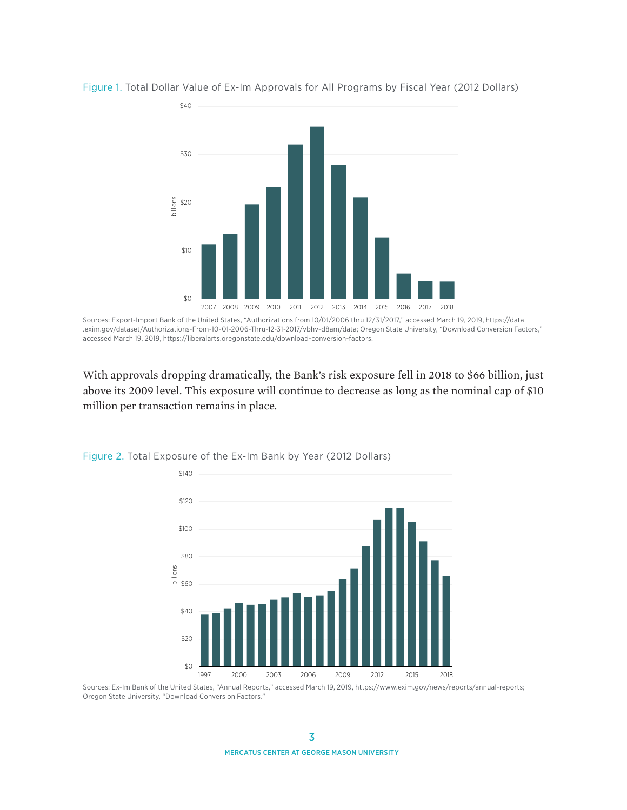

Figure 1. Total Dollar Value of Ex-Im Approvals for All Programs by Fiscal Year (2012 Dollars)

Sources: Export-Import Bank of the United States, "Authorizations from 10/01/2006 thru 12/31/2017," accessed March 19, 2019, [https://data](https://data.exim.gov/dataset/Authorizations-From-10-01-2006-Thru-09-30-2018/vbhv-d8am/data) [.exim.gov/dataset/Authorizations-From-10-01-2006-Thru-12-31-2017/vbhv-d8am/data](https://data.exim.gov/dataset/Authorizations-From-10-01-2006-Thru-09-30-2018/vbhv-d8am/data); Oregon State University, "Download Conversion Factors," accessed March 19, 2019, [https://liberalarts.oregonstate.edu/download-conversion-factors.](https://liberalarts.oregonstate.edu/download-conversion-factors)

With approvals dropping dramatically, the Bank's risk exposure fell in 2018 to \$66 billion, just above its 2009 level. This exposure will continue to decrease as long as the nominal cap of \$10 million per transaction remains in place.



Figure 2. Total Exposure of the Ex-Im Bank by Year (2012 Dollars)

Sources: Ex-Im Bank of the United States, "Annual Reports," accessed March 19, 2019, [https://www.exim.gov/news/reports/annual-reports;](https://www.exim.gov/news/reports/annual-reports) Oregon State University, "Download Conversion Factors."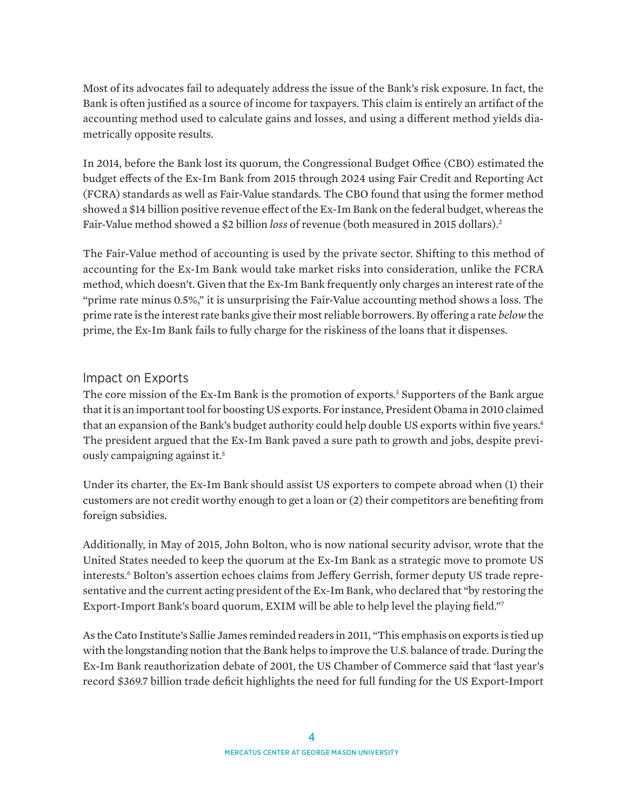Most of its advocates fail to adequately address the issue of the Bank's risk exposure. In fact, the Bank is often justified as a source of income for taxpayers. This claim is entirely an artifact of the accounting method used to calculate gains and losses, and using a different method yields diametrically opposite results.

In 2014, before the Bank lost its quorum, the Congressional Budget Office (CBO) estimated the budget effects of the Ex-Im Bank from 2015 through 2024 using Fair Credit and Reporting Act (FCRA) standards as well as Fair-Value standards. The CBO found that using the former method showed a \$14 billion positive revenue effect of the Ex-Im Bank on the federal budget, whereas the Fair-Value method showed a \$2 billion *loss* of revenue (both measured in 2015 dollars).2

The Fair-Value method of accounting is used by the private sector. Shifting to this method of accounting for the Ex-Im Bank would take market risks into consideration, unlike the FCRA method, which doesn't. Given that the Ex-Im Bank frequently only charges an interest rate of the "prime rate minus 0.5%," it is unsurprising the Fair-Value accounting method shows a loss. The prime rate is the interest rate banks give their most reliable borrowers. By offering a rate *below* the prime, the Ex-Im Bank fails to fully charge for the riskiness of the loans that it dispenses.

### Impact on Exports

The core mission of the Ex-Im Bank is the promotion of exports.<sup>3</sup> Supporters of the Bank argue that it is an important tool for boosting US exports. For instance, President Obama in 2010 claimed that an expansion of the Bank's budget authority could help double US exports within five years.<sup>4</sup> The president argued that the Ex-Im Bank paved a sure path to growth and jobs, despite previously campaigning against it.<sup>5</sup>

Under its charter, the Ex-Im Bank should assist US exporters to compete abroad when (1) their customers are not credit worthy enough to get a loan or (2) their competitors are benefiting from foreign subsidies.

Additionally, in May of 2015, John Bolton, who is now national security advisor, wrote that the United States needed to keep the quorum at the Ex-Im Bank as a strategic move to promote US interests.<sup>6</sup> Bolton's assertion echoes claims from Jeffery Gerrish, former deputy US trade representative and the current acting president of the Ex-Im Bank, who declared that "by restoring the Export-Import Bank's board quorum, EXIM will be able to help level the playing field."7

As the Cato Institute's Sallie James reminded readers in 2011, "This emphasis on exports is tied up with the longstanding notion that the Bank helps to improve the U.S. balance of trade. During the Ex-Im Bank reauthorization debate of 2001, the US Chamber of Commerce said that 'last year's record \$369.7 billion trade deficit highlights the need for full funding for the US Export-Import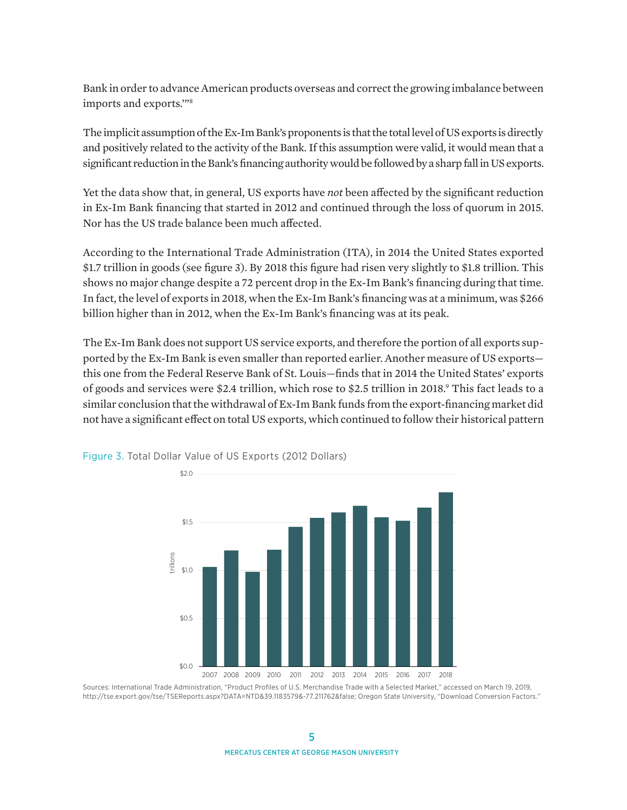Bank in order to advance American products overseas and correct the growing imbalance between imports and exports.'"8

The implicit assumption of the Ex-Im Bank's proponents is that the total level of US exports is directly and positively related to the activity of the Bank. If this assumption were valid, it would mean that a significant reduction in the Bank's financing authority would be followed by a sharp fall in US exports.

Yet the data show that, in general, US exports have *not* been affected by the significant reduction in Ex-Im Bank financing that started in 2012 and continued through the loss of quorum in 2015. Nor has the US trade balance been much affected.

According to the International Trade Administration (ITA), in 2014 the United States exported \$1.7 trillion in goods (see figure 3). By 2018 this figure had risen very slightly to \$1.8 trillion. This shows no major change despite a 72 percent drop in the Ex-Im Bank's financing during that time. In fact, the level of exports in 2018, when the Ex-Im Bank's financing was at a minimum, was \$266 billion higher than in 2012, when the Ex-Im Bank's financing was at its peak.

The Ex-Im Bank does not support US service exports, and therefore the portion of all exports supported by the Ex-Im Bank is even smaller than reported earlier. Another measure of US exports this one from the Federal Reserve Bank of St. Louis—finds that in 2014 the United States' exports of goods and services were \$2.4 trillion, which rose to \$2.5 trillion in 2018.9 This fact leads to a similar conclusion that the withdrawal of Ex-Im Bank funds from the export-financing market did not have a significant effect on total US exports, which continued to follow their historical pattern



Figure 3. Total Dollar Value of US Exports (2012 Dollars)

Sources: International Trade Administration, "Product Profiles of U.S. Merchandise Trade with a Selected Market," accessed on March 19, 2019, [http://tse.export.gov/tse/TSEReports.aspx?DATA=NTD&39.1183579&-77.211762&false](http://tse.export.gov/tse/TSEReports.aspx?DATA=NTD); Oregon State University, "Download Conversion Factors."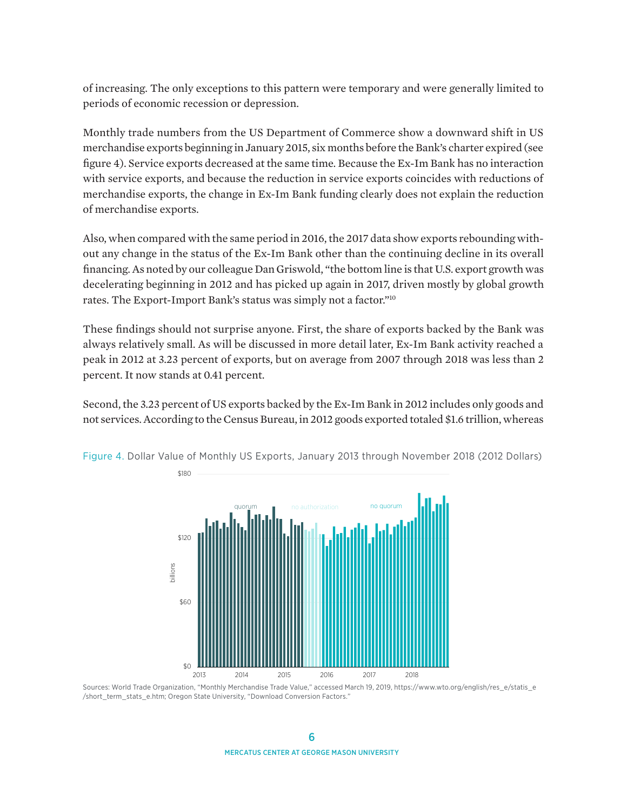of increasing. The only exceptions to this pattern were temporary and were generally limited to periods of economic recession or depression.

Monthly trade numbers from the US Department of Commerce show a downward shift in US merchandise exports beginning in January 2015, six months before the Bank's charter expired (see figure 4). Service exports decreased at the same time. Because the Ex-Im Bank has no interaction with service exports, and because the reduction in service exports coincides with reductions of merchandise exports, the change in Ex-Im Bank funding clearly does not explain the reduction of merchandise exports.

Also, when compared with the same period in 2016, the 2017 data show exports rebounding without any change in the status of the Ex-Im Bank other than the continuing decline in its overall financing. As noted by our colleague Dan Griswold, "the bottom line is that U.S. export growth was decelerating beginning in 2012 and has picked up again in 2017, driven mostly by global growth rates. The Export-Import Bank's status was simply not a factor."10

These findings should not surprise anyone. First, the share of exports backed by the Bank was always relatively small. As will be discussed in more detail later, Ex-Im Bank activity reached a peak in 2012 at 3.23 percent of exports, but on average from 2007 through 2018 was less than 2 percent. It now stands at 0.41 percent.

Second, the 3.23 percent of US exports backed by the Ex-Im Bank in 2012 includes only goods and not services. According to the Census Bureau, in 2012 goods exported totaled \$1.6 trillion, whereas



Figure 4. Dollar Value of Monthly US Exports, January 2013 through November 2018 (2012 Dollars)

Sources: World Trade Organization, "Monthly Merchandise Trade Value," accessed March 19, 2019, [https://www.wto.org/english/res\\_e/statis\\_e](https://www.wto.org/english/res_e/statis_e/short_term_stats_e.htm) [/short\\_term\\_stats\\_e.htm](https://www.wto.org/english/res_e/statis_e/short_term_stats_e.htm); Oregon State University, "Download Conversion Factors."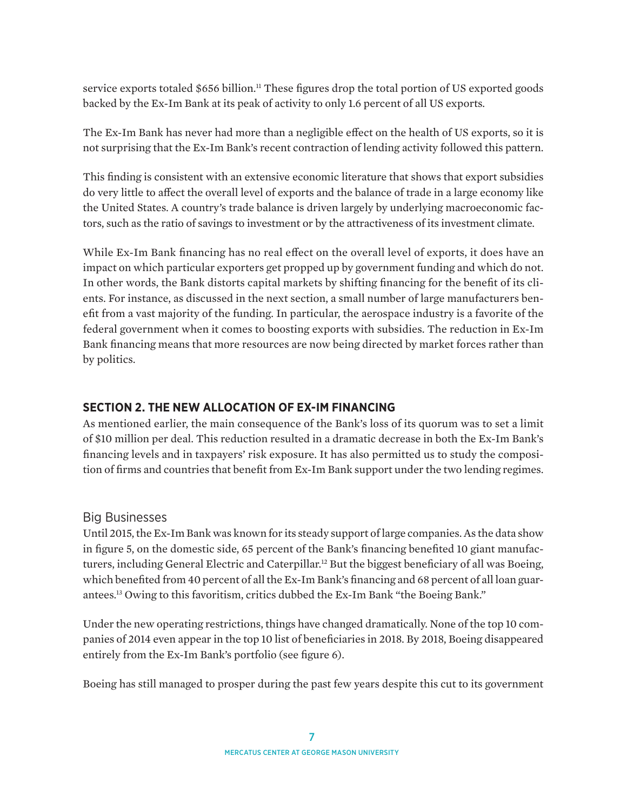service exports totaled \$656 billion.<sup>11</sup> These figures drop the total portion of US exported goods backed by the Ex-Im Bank at its peak of activity to only 1.6 percent of all US exports.

The Ex-Im Bank has never had more than a negligible effect on the health of US exports, so it is not surprising that the Ex-Im Bank's recent contraction of lending activity followed this pattern.

This finding is consistent with an extensive economic literature that shows that export subsidies do very little to affect the overall level of exports and the balance of trade in a large economy like the United States. A country's trade balance is driven largely by underlying macroeconomic factors, such as the ratio of savings to investment or by the attractiveness of its investment climate.

While Ex-Im Bank financing has no real effect on the overall level of exports, it does have an impact on which particular exporters get propped up by government funding and which do not. In other words, the Bank distorts capital markets by shifting financing for the benefit of its clients. For instance, as discussed in the next section, a small number of large manufacturers benefit from a vast majority of the funding. In particular, the aerospace industry is a favorite of the federal government when it comes to boosting exports with subsidies. The reduction in Ex-Im Bank financing means that more resources are now being directed by market forces rather than by politics.

### **SECTION 2. THE NEW ALLOCATION OF EX-IM FINANCING**

As mentioned earlier, the main consequence of the Bank's loss of its quorum was to set a limit of \$10 million per deal. This reduction resulted in a dramatic decrease in both the Ex-Im Bank's financing levels and in taxpayers' risk exposure. It has also permitted us to study the composition of firms and countries that benefit from Ex-Im Bank support under the two lending regimes.

#### Big Businesses

Until 2015, the Ex-Im Bank was known for its steady support of large companies. As the data show in figure 5, on the domestic side, 65 percent of the Bank's financing benefited 10 giant manufacturers, including General Electric and Caterpillar.<sup>12</sup> But the biggest beneficiary of all was Boeing, which benefited from 40 percent of all the Ex-Im Bank's financing and 68 percent of all loan guarantees.13 Owing to this favoritism, critics dubbed the Ex-Im Bank "the Boeing Bank."

Under the new operating restrictions, things have changed dramatically. None of the top 10 companies of 2014 even appear in the top 10 list of beneficiaries in 2018. By 2018, Boeing disappeared entirely from the Ex-Im Bank's portfolio (see figure 6).

Boeing has still managed to prosper during the past few years despite this cut to its government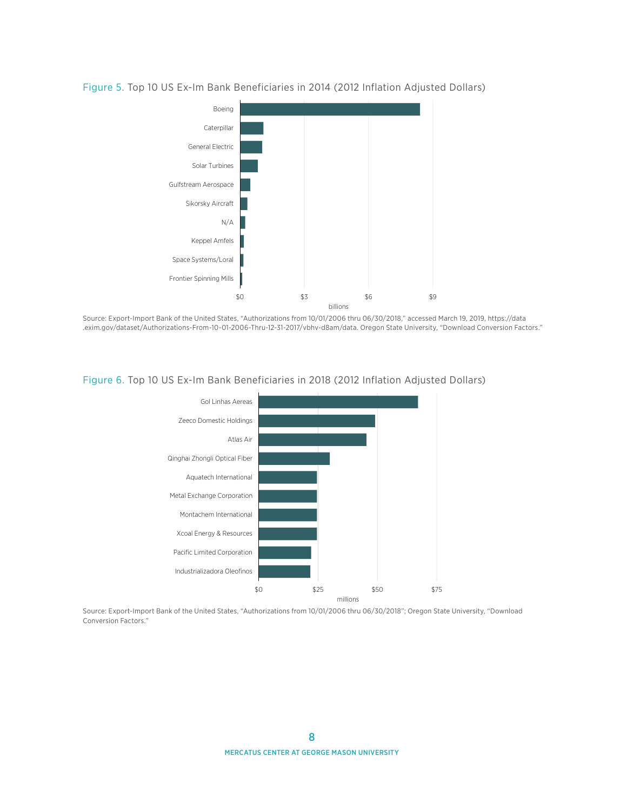

#### Figure 5. Top 10 US Ex-Im Bank Beneficiaries in 2014 (2012 Inflation Adjusted Dollars)

Source: Export-Import Bank of the United States, "Authorizations from 10/01/2006 thru 06/30/2018," accessed March 19, 2019, [https://data](https://data.exim.gov/dataset/Authorizations-From-10-01-2006-Thru-09-30-2018/vbhv-d8am/data) [.exim.gov/dataset/Authorizations-From-10-01-2006-Thru-12-31-2017/vbhv-d8am/data.](https://data.exim.gov/dataset/Authorizations-From-10-01-2006-Thru-09-30-2018/vbhv-d8am/data) Oregon State University, "Download Conversion Factors."



#### Figure 6. Top 10 US Ex-Im Bank Beneficiaries in 2018 (2012 Inflation Adjusted Dollars)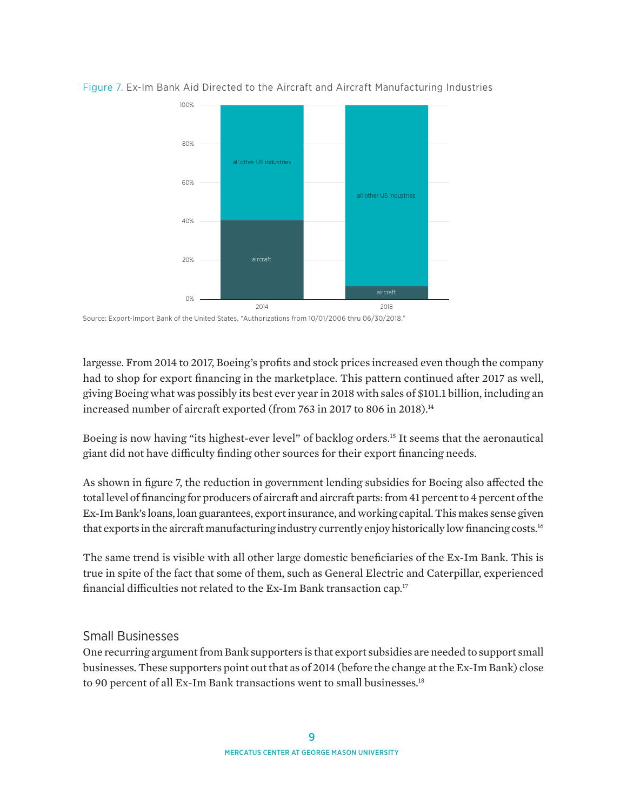

Figure 7. Ex-Im Bank Aid Directed to the Aircraft and Aircraft Manufacturing Industries

Source: Export-Import Bank of the United States, "Authorizations from 10/01/2006 thru 06/30/2018."

largesse. From 2014 to 2017, Boeing's profits and stock prices increased even though the company had to shop for export financing in the marketplace. This pattern continued after 2017 as well, giving Boeing what was possibly its best ever year in 2018 with sales of \$101.1 billion, including an increased number of aircraft exported (from 763 in 2017 to 806 in 2018).<sup>14</sup>

Boeing is now having "its highest-ever level" of backlog orders.15 It seems that the aeronautical giant did not have difficulty finding other sources for their export financing needs.

As shown in figure 7, the reduction in government lending subsidies for Boeing also affected the total level of financing for producers of aircraft and aircraft parts: from 41 percent to 4 percent of the Ex-Im Bank's loans, loan guarantees, export insurance, and working capital. This makes sense given that exports in the aircraft manufacturing industry currently enjoy historically low financing costs.<sup>16</sup>

The same trend is visible with all other large domestic beneficiaries of the Ex-Im Bank. This is true in spite of the fact that some of them, such as General Electric and Caterpillar, experienced financial difficulties not related to the Ex-Im Bank transaction cap.<sup>17</sup>

#### Small Businesses

One recurring argument from Bank supporters is that export subsidies are needed to support small businesses. These supporters point out that as of 2014 (before the change at the Ex-Im Bank) close to 90 percent of all Ex-Im Bank transactions went to small businesses.<sup>18</sup>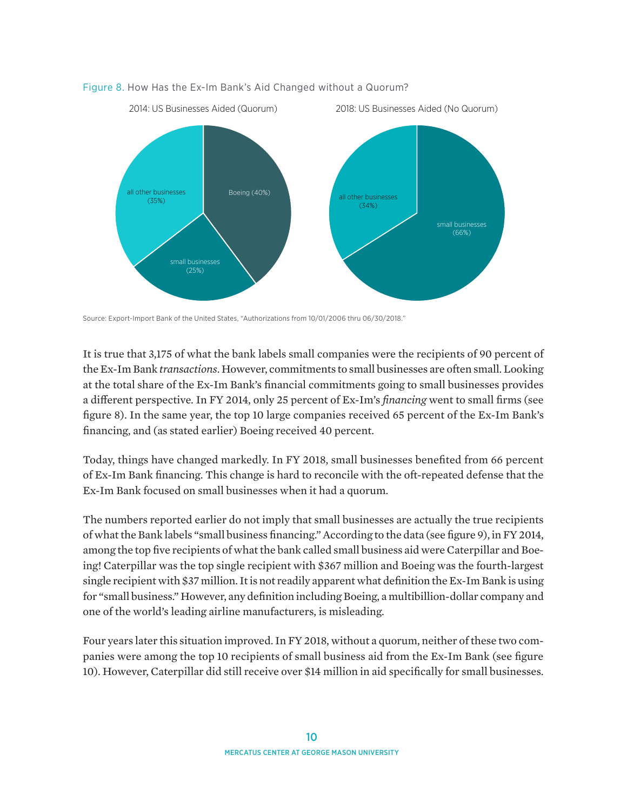

#### Figure 8. How Has the Ex-Im Bank's Aid Changed without a Quorum?

Source: Export-Import Bank of the United States, "Authorizations from 10/01/2006 thru 06/30/2018."

It is true that 3,175 of what the bank labels small companies were the recipients of 90 percent of the Ex-Im Bank *transactions*. However, commitments to small businesses are often small. Looking at the total share of the Ex-Im Bank's financial commitments going to small businesses provides a different perspective. In FY 2014, only 25 percent of Ex-Im's *financing* went to small firms (see figure 8). In the same year, the top 10 large companies received 65 percent of the Ex-Im Bank's financing, and (as stated earlier) Boeing received 40 percent.

Today, things have changed markedly. In FY 2018, small businesses benefited from 66 percent of Ex-Im Bank financing. This change is hard to reconcile with the oft-repeated defense that the Ex-Im Bank focused on small businesses when it had a quorum.

The numbers reported earlier do not imply that small businesses are actually the true recipients of what the Bank labels "small business financing." According to the data (see figure 9), in FY 2014, among the top five recipients of what the bank called small business aid were Caterpillar and Boeing! Caterpillar was the top single recipient with \$367 million and Boeing was the fourth-largest single recipient with \$37 million. It is not readily apparent what definition the Ex-Im Bank is using for "small business." However, any definition including Boeing, a multibillion-dollar company and one of the world's leading airline manufacturers, is misleading.

Four years later this situation improved. In FY 2018, without a quorum, neither of these two companies were among the top 10 recipients of small business aid from the Ex-Im Bank (see figure 10). However, Caterpillar did still receive over \$14 million in aid specifically for small businesses.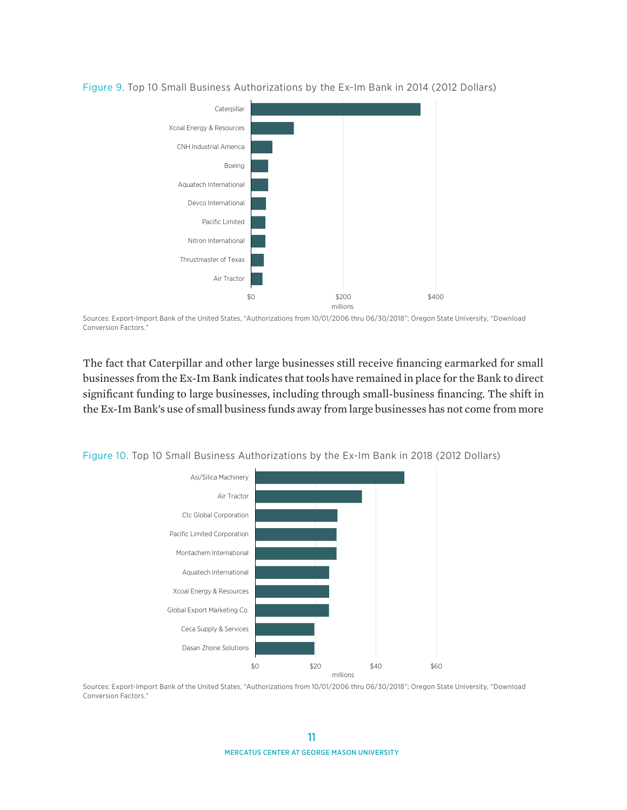

Figure 9. Top 10 Small Business Authorizations by the Ex-Im Bank in 2014 (2012 Dollars)

Sources: Export-Import Bank of the United States, "Authorizations from 10/01/2006 thru 06/30/2018"; Oregon State University, "Download Conversion Factors."

The fact that Caterpillar and other large businesses still receive financing earmarked for small businesses from the Ex-Im Bank indicates that tools have remained in place for the Bank to direct significant funding to large businesses, including through small-business financing. The shift in the Ex-Im Bank's use of small business funds away from large businesses has not come from more



Figure 10. Top 10 Small Business Authorizations by the Ex-Im Bank in 2018 (2012 Dollars)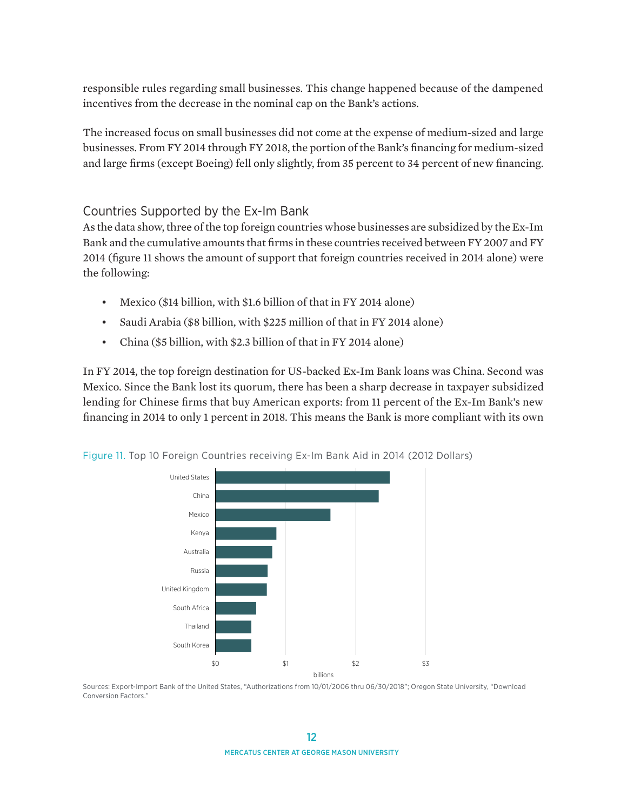responsible rules regarding small businesses. This change happened because of the dampened incentives from the decrease in the nominal cap on the Bank's actions.

The increased focus on small businesses did not come at the expense of medium-sized and large businesses. From FY 2014 through FY 2018, the portion of the Bank's financing for medium-sized and large firms (except Boeing) fell only slightly, from 35 percent to 34 percent of new financing.

## Countries Supported by the Ex-Im Bank

As the data show, three of the top foreign countries whose businesses are subsidized by the Ex-Im Bank and the cumulative amounts that firms in these countries received between FY 2007 and FY 2014 (figure 11 shows the amount of support that foreign countries received in 2014 alone) were the following:

- Mexico (\$14 billion, with \$1.6 billion of that in FY 2014 alone)
- Saudi Arabia (\$8 billion, with \$225 million of that in FY 2014 alone)
- China (\$5 billion, with \$2.3 billion of that in FY 2014 alone)

In FY 2014, the top foreign destination for US-backed Ex-Im Bank loans was China. Second was Mexico. Since the Bank lost its quorum, there has been a sharp decrease in taxpayer subsidized lending for Chinese firms that buy American exports: from 11 percent of the Ex-Im Bank's new financing in 2014 to only 1 percent in 2018. This means the Bank is more compliant with its own



Figure 11. Top 10 Foreign Countries receiving Ex-Im Bank Aid in 2014 (2012 Dollars)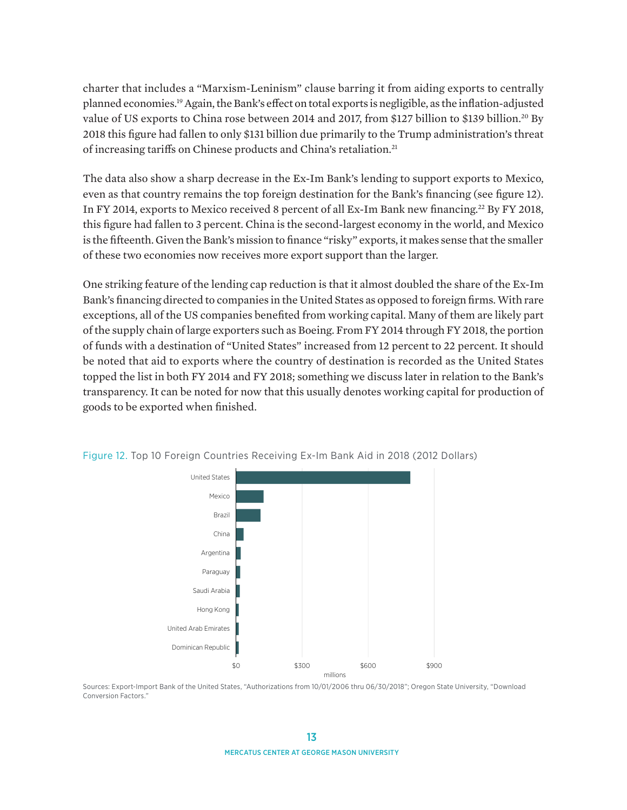charter that includes a "Marxism-Leninism" clause barring it from aiding exports to centrally planned economies.19 Again, the Bank's effect on total exports is negligible, as the inflation-adjusted value of US exports to China rose between 2014 and 2017, from \$127 billion to \$139 billion.<sup>20</sup> By 2018 this figure had fallen to only \$131 billion due primarily to the Trump administration's threat of increasing tariffs on Chinese products and China's retaliation.21

The data also show a sharp decrease in the Ex-Im Bank's lending to support exports to Mexico, even as that country remains the top foreign destination for the Bank's financing (see figure 12). In FY 2014, exports to Mexico received 8 percent of all Ex-Im Bank new financing.22 By FY 2018, this figure had fallen to 3 percent. China is the second-largest economy in the world, and Mexico is the fifteenth. Given the Bank's mission to finance "risky" exports, it makes sense that the smaller of these two economies now receives more export support than the larger.

One striking feature of the lending cap reduction is that it almost doubled the share of the Ex-Im Bank's financing directed to companies in the United States as opposed to foreign firms. With rare exceptions, all of the US companies benefited from working capital. Many of them are likely part of the supply chain of large exporters such as Boeing. From FY 2014 through FY 2018, the portion of funds with a destination of "United States" increased from 12 percent to 22 percent. It should be noted that aid to exports where the country of destination is recorded as the United States topped the list in both FY 2014 and FY 2018; something we discuss later in relation to the Bank's transparency. It can be noted for now that this usually denotes working capital for production of goods to be exported when finished.



Figure 12. Top 10 Foreign Countries Receiving Ex-Im Bank Aid in 2018 (2012 Dollars)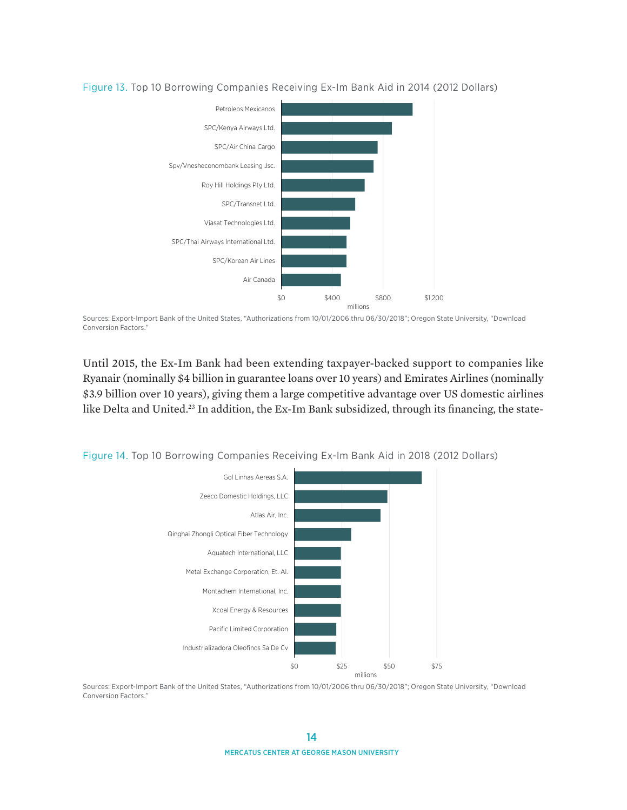

#### Figure 13. Top 10 Borrowing Companies Receiving Ex-Im Bank Aid in 2014 (2012 Dollars)

Sources: Export-Import Bank of the United States, "Authorizations from 10/01/2006 thru 06/30/2018"; Oregon State University, "Download Conversion Factors."

Until 2015, the Ex-Im Bank had been extending taxpayer-backed support to companies like Ryanair (nominally \$4 billion in guarantee loans over 10 years) and Emirates Airlines (nominally \$3.9 billion over 10 years), giving them a large competitive advantage over US domestic airlines like Delta and United.<sup>23</sup> In addition, the Ex-Im Bank subsidized, through its financing, the state-

Figure 14. Top 10 Borrowing Companies Receiving Ex-Im Bank Aid in 2018 (2012 Dollars)

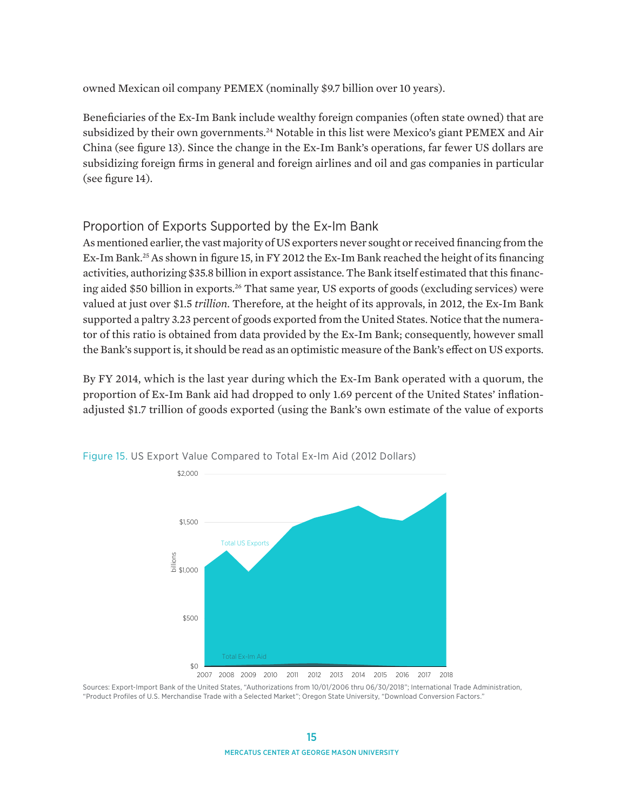owned Mexican oil company PEMEX (nominally \$9.7 billion over 10 years).

Beneficiaries of the Ex-Im Bank include wealthy foreign companies (often state owned) that are subsidized by their own governments.<sup>24</sup> Notable in this list were Mexico's giant PEMEX and Air China (see figure 13). Since the change in the Ex-Im Bank's operations, far fewer US dollars are subsidizing foreign firms in general and foreign airlines and oil and gas companies in particular (see figure 14).

### Proportion of Exports Supported by the Ex-Im Bank

As mentioned earlier, the vast majority of US exporters never sought or received financing from the Ex-Im Bank.<sup>25</sup> As shown in figure 15, in FY 2012 the Ex-Im Bank reached the height of its financing activities, authorizing \$35.8 billion in export assistance. The Bank itself estimated that this financing aided \$50 billion in exports.26 That same year, US exports of goods (excluding services) were valued at just over \$1.5 *trillion*. Therefore, at the height of its approvals, in 2012, the Ex-Im Bank supported a paltry 3.23 percent of goods exported from the United States. Notice that the numerator of this ratio is obtained from data provided by the Ex-Im Bank; consequently, however small the Bank's support is, it should be read as an optimistic measure of the Bank's effect on US exports.

By FY 2014, which is the last year during which the Ex-Im Bank operated with a quorum, the proportion of Ex-Im Bank aid had dropped to only 1.69 percent of the United States' inflationadjusted \$1.7 trillion of goods exported (using the Bank's own estimate of the value of exports



Figure 15. US Export Value Compared to Total Ex-Im Aid (2012 Dollars)

2007 2008 2009 2010 2011 2012 2013 2014 2015 2016 2017 2018

Sources: Export-Import Bank of the United States, "Authorizations from 10/01/2006 thru 06/30/2018"; International Trade Administration, "Product Profiles of U.S. Merchandise Trade with a Selected Market"; Oregon State University, "Download Conversion Factors."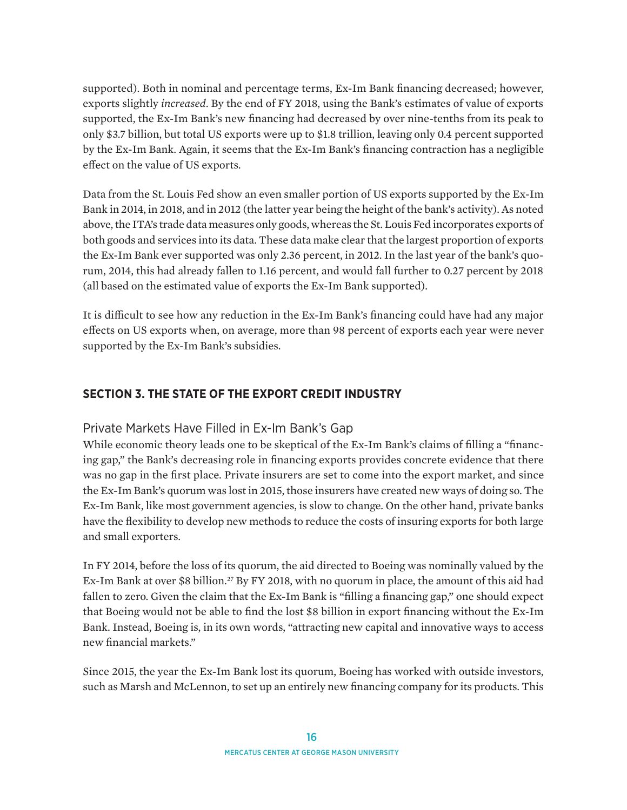supported). Both in nominal and percentage terms, Ex-Im Bank financing decreased; however, exports slightly *increased*. By the end of FY 2018, using the Bank's estimates of value of exports supported, the Ex-Im Bank's new financing had decreased by over nine-tenths from its peak to only \$3.7 billion, but total US exports were up to \$1.8 trillion, leaving only 0.4 percent supported by the Ex-Im Bank. Again, it seems that the Ex-Im Bank's financing contraction has a negligible effect on the value of US exports.

Data from the St. Louis Fed show an even smaller portion of US exports supported by the Ex-Im Bank in 2014, in 2018, and in 2012 (the latter year being the height of the bank's activity). As noted above, the ITA's trade data measures only goods, whereas the St. Louis Fed incorporates exports of both goods and services into its data. These data make clear that the largest proportion of exports the Ex-Im Bank ever supported was only 2.36 percent, in 2012. In the last year of the bank's quorum, 2014, this had already fallen to 1.16 percent, and would fall further to 0.27 percent by 2018 (all based on the estimated value of exports the Ex-Im Bank supported).

It is difficult to see how any reduction in the Ex-Im Bank's financing could have had any major effects on US exports when, on average, more than 98 percent of exports each year were never supported by the Ex-Im Bank's subsidies.

### **SECTION 3. THE STATE OF THE EXPORT CREDIT INDUSTRY**

#### Private Markets Have Filled in Ex-Im Bank's Gap

While economic theory leads one to be skeptical of the Ex-Im Bank's claims of filling a "financing gap," the Bank's decreasing role in financing exports provides concrete evidence that there was no gap in the first place. Private insurers are set to come into the export market, and since the Ex-Im Bank's quorum was lost in 2015, those insurers have created new ways of doing so. The Ex-Im Bank, like most government agencies, is slow to change. On the other hand, private banks have the flexibility to develop new methods to reduce the costs of insuring exports for both large and small exporters.

In FY 2014, before the loss of its quorum, the aid directed to Boeing was nominally valued by the Ex-Im Bank at over \$8 billion.<sup>27</sup> By FY 2018, with no quorum in place, the amount of this aid had fallen to zero. Given the claim that the Ex-Im Bank is "filling a financing gap," one should expect that Boeing would not be able to find the lost \$8 billion in export financing without the Ex-Im Bank. Instead, Boeing is, in its own words, "attracting new capital and innovative ways to access new financial markets."

Since 2015, the year the Ex-Im Bank lost its quorum, Boeing has worked with outside investors, such as Marsh and McLennon, to set up an entirely new financing company for its products. This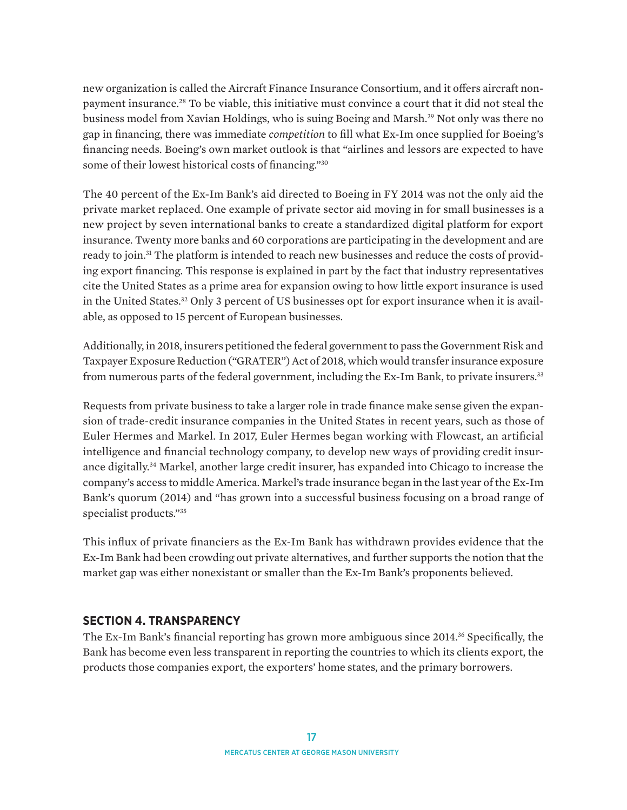new organization is called the Aircraft Finance Insurance Consortium, and it offers aircraft nonpayment insurance.28 To be viable, this initiative must convince a court that it did not steal the business model from Xavian Holdings, who is suing Boeing and Marsh.29 Not only was there no gap in financing, there was immediate *competition* to fill what Ex-Im once supplied for Boeing's financing needs. Boeing's own market outlook is that "airlines and lessors are expected to have some of their lowest historical costs of financing."30

The 40 percent of the Ex-Im Bank's aid directed to Boeing in FY 2014 was not the only aid the private market replaced. One example of private sector aid moving in for small businesses is a new project by seven international banks to create a standardized digital platform for export insurance. Twenty more banks and 60 corporations are participating in the development and are ready to join.<sup>31</sup> The platform is intended to reach new businesses and reduce the costs of providing export financing. This response is explained in part by the fact that industry representatives cite the United States as a prime area for expansion owing to how little export insurance is used in the United States.32 Only 3 percent of US businesses opt for export insurance when it is available, as opposed to 15 percent of European businesses.

Additionally, in 2018, insurers petitioned the federal government to pass the Government Risk and Taxpayer Exposure Reduction ("GRATER") Act of 2018, which would transfer insurance exposure from numerous parts of the federal government, including the Ex-Im Bank, to private insurers.<sup>33</sup>

Requests from private business to take a larger role in trade finance make sense given the expansion of trade-credit insurance companies in the United States in recent years, such as those of Euler Hermes and Markel. In 2017, Euler Hermes began working with Flowcast, an artificial intelligence and financial technology company, to develop new ways of providing credit insurance digitally.34 Markel, another large credit insurer, has expanded into Chicago to increase the company's access to middle America. Markel's trade insurance began in the last year of the Ex-Im Bank's quorum (2014) and "has grown into a successful business focusing on a broad range of specialist products."35

This influx of private financiers as the Ex-Im Bank has withdrawn provides evidence that the Ex-Im Bank had been crowding out private alternatives, and further supports the notion that the market gap was either nonexistant or smaller than the Ex-Im Bank's proponents believed.

#### **SECTION 4. TRANSPARENCY**

The Ex-Im Bank's financial reporting has grown more ambiguous since 2014.<sup>36</sup> Specifically, the Bank has become even less transparent in reporting the countries to which its clients export, the products those companies export, the exporters' home states, and the primary borrowers.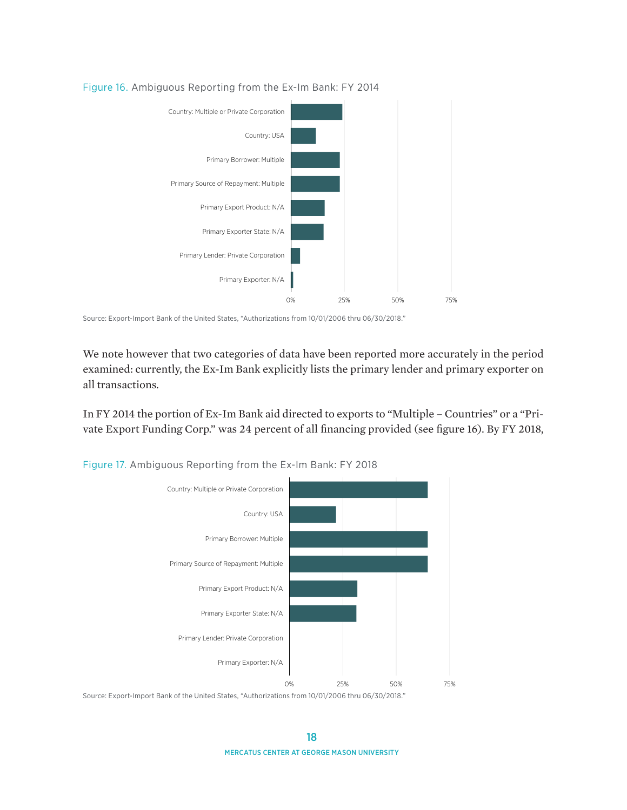

#### Figure 16. Ambiguous Reporting from the Ex-Im Bank: FY 2014

We note however that two categories of data have been reported more accurately in the period examined: currently, the Ex-Im Bank explicitly lists the primary lender and primary exporter on all transactions.

In FY 2014 the portion of Ex-Im Bank aid directed to exports to "Multiple – Countries" or a "Private Export Funding Corp." was 24 percent of all financing provided (see figure 16). By FY 2018,



Figure 17. Ambiguous Reporting from the Ex-Im Bank: FY 2018

Source: Export-Import Bank of the United States, "Authorizations from 10/01/2006 thru 06/30/2018."

Source: Export-Import Bank of the United States, "Authorizations from 10/01/2006 thru 06/30/2018."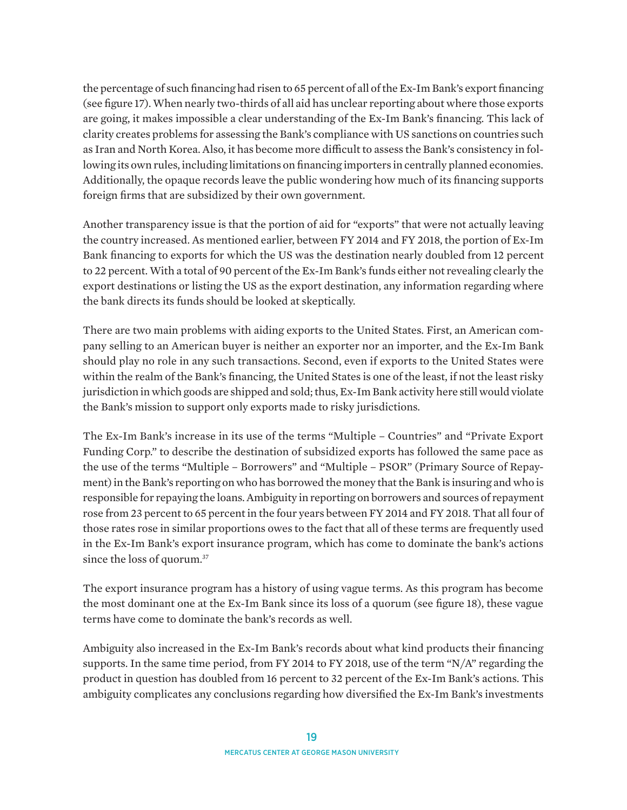the percentage of such financing had risen to 65 percent of all of the Ex-Im Bank's export financing (see figure 17). When nearly two-thirds of all aid has unclear reporting about where those exports are going, it makes impossible a clear understanding of the Ex-Im Bank's financing. This lack of clarity creates problems for assessing the Bank's compliance with US sanctions on countries such as Iran and North Korea. Also, it has become more difficult to assess the Bank's consistency in following its own rules, including limitations on financing importers in centrally planned economies. Additionally, the opaque records leave the public wondering how much of its financing supports foreign firms that are subsidized by their own government.

Another transparency issue is that the portion of aid for "exports" that were not actually leaving the country increased. As mentioned earlier, between FY 2014 and FY 2018, the portion of Ex-Im Bank financing to exports for which the US was the destination nearly doubled from 12 percent to 22 percent. With a total of 90 percent of the Ex-Im Bank's funds either not revealing clearly the export destinations or listing the US as the export destination, any information regarding where the bank directs its funds should be looked at skeptically.

There are two main problems with aiding exports to the United States. First, an American company selling to an American buyer is neither an exporter nor an importer, and the Ex-Im Bank should play no role in any such transactions. Second, even if exports to the United States were within the realm of the Bank's financing, the United States is one of the least, if not the least risky jurisdiction in which goods are shipped and sold; thus, Ex-Im Bank activity here still would violate the Bank's mission to support only exports made to risky jurisdictions.

The Ex-Im Bank's increase in its use of the terms "Multiple – Countries" and "Private Export Funding Corp." to describe the destination of subsidized exports has followed the same pace as the use of the terms "Multiple – Borrowers" and "Multiple – PSOR" (Primary Source of Repayment) in the Bank's reporting on who has borrowed the money that the Bank is insuring and who is responsible for repaying the loans. Ambiguity in reporting on borrowers and sources of repayment rose from 23 percent to 65 percent in the four years between FY 2014 and FY 2018. That all four of those rates rose in similar proportions owes to the fact that all of these terms are frequently used in the Ex-Im Bank's export insurance program, which has come to dominate the bank's actions since the loss of quorum.<sup>37</sup>

The export insurance program has a history of using vague terms. As this program has become the most dominant one at the Ex-Im Bank since its loss of a quorum (see figure 18), these vague terms have come to dominate the bank's records as well.

Ambiguity also increased in the Ex-Im Bank's records about what kind products their financing supports. In the same time period, from FY 2014 to FY 2018, use of the term "N/A" regarding the product in question has doubled from 16 percent to 32 percent of the Ex-Im Bank's actions. This ambiguity complicates any conclusions regarding how diversified the Ex-Im Bank's investments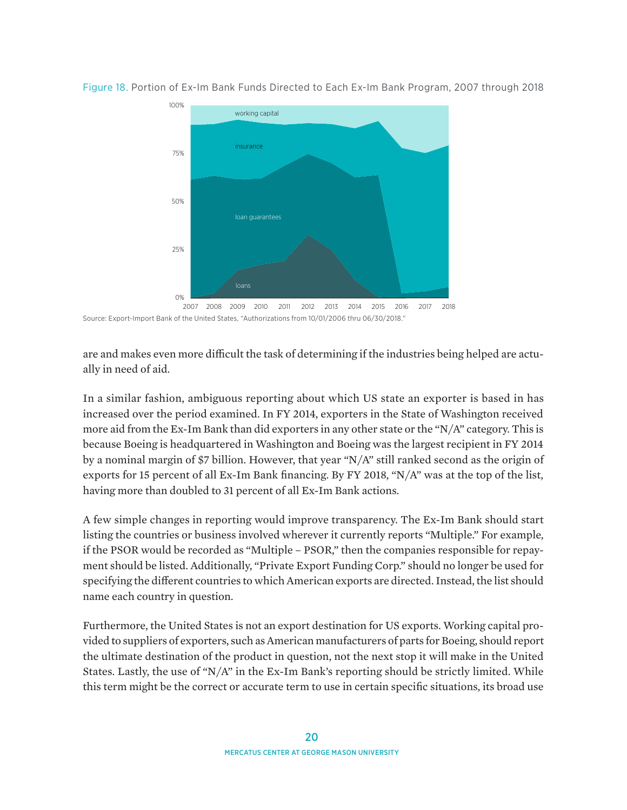

Figure 18. Portion of Ex-Im Bank Funds Directed to Each Ex-Im Bank Program, 2007 through 2018

are and makes even more difficult the task of determining if the industries being helped are actually in need of aid.

In a similar fashion, ambiguous reporting about which US state an exporter is based in has increased over the period examined. In FY 2014, exporters in the State of Washington received more aid from the Ex-Im Bank than did exporters in any other state or the "N/A" category. This is because Boeing is headquartered in Washington and Boeing was the largest recipient in FY 2014 by a nominal margin of \$7 billion. However, that year "N/A" still ranked second as the origin of exports for 15 percent of all Ex-Im Bank financing. By FY 2018, "N/A" was at the top of the list, having more than doubled to 31 percent of all Ex-Im Bank actions.

A few simple changes in reporting would improve transparency. The Ex-Im Bank should start listing the countries or business involved wherever it currently reports "Multiple." For example, if the PSOR would be recorded as "Multiple – PSOR," then the companies responsible for repayment should be listed. Additionally, "Private Export Funding Corp." should no longer be used for specifying the different countries to which American exports are directed. Instead, the list should name each country in question.

Furthermore, the United States is not an export destination for US exports. Working capital provided to suppliers of exporters, such as American manufacturers of parts for Boeing, should report the ultimate destination of the product in question, not the next stop it will make in the United States. Lastly, the use of " $N/A$ " in the Ex-Im Bank's reporting should be strictly limited. While this term might be the correct or accurate term to use in certain specific situations, its broad use

<sup>2007</sup> 2008 2009 2010 2011 2012 2013 2014 2015 2016 2017 2018 Source: Export-Import Bank of the United States, "Authorizations from 10/01/2006 thru 06/30/2018."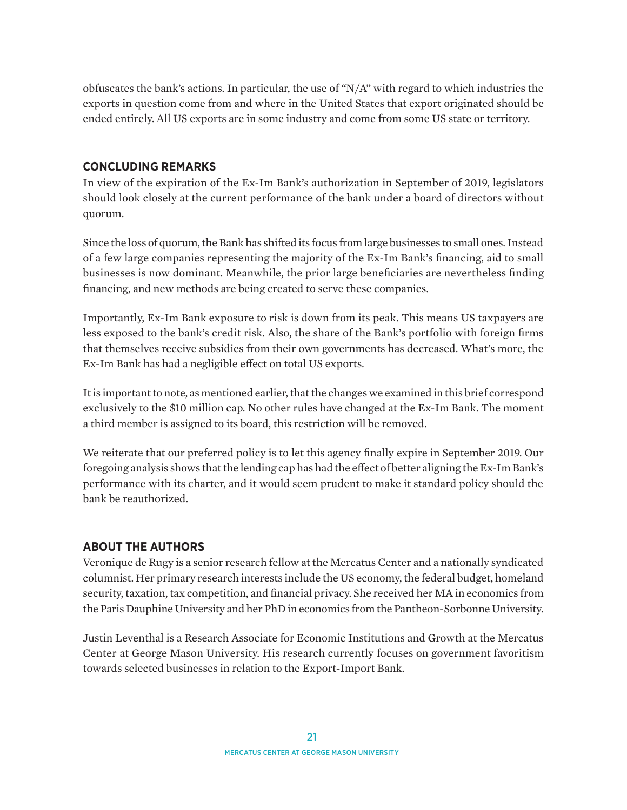obfuscates the bank's actions. In particular, the use of " $N/A$ " with regard to which industries the exports in question come from and where in the United States that export originated should be ended entirely. All US exports are in some industry and come from some US state or territory.

#### **CONCLUDING REMARKS**

In view of the expiration of the Ex-Im Bank's authorization in September of 2019, legislators should look closely at the current performance of the bank under a board of directors without quorum.

Since the loss of quorum, the Bank has shifted its focus from large businesses to small ones. Instead of a few large companies representing the majority of the Ex-Im Bank's financing, aid to small businesses is now dominant. Meanwhile, the prior large beneficiaries are nevertheless finding financing, and new methods are being created to serve these companies.

Importantly, Ex-Im Bank exposure to risk is down from its peak. This means US taxpayers are less exposed to the bank's credit risk. Also, the share of the Bank's portfolio with foreign firms that themselves receive subsidies from their own governments has decreased. What's more, the Ex-Im Bank has had a negligible effect on total US exports.

It is important to note, as mentioned earlier, that the changes we examined in this brief correspond exclusively to the \$10 million cap. No other rules have changed at the Ex-Im Bank. The moment a third member is assigned to its board, this restriction will be removed.

We reiterate that our preferred policy is to let this agency finally expire in September 2019. Our foregoing analysis shows that the lending cap has had the effect of better aligning the Ex-Im Bank's performance with its charter, and it would seem prudent to make it standard policy should the bank be reauthorized.

## **ABOUT THE AUTHORS**

Veronique de Rugy is a senior research fellow at the Mercatus Center and a nationally syndicated columnist. Her primary research interests include the US economy, the federal budget, homeland security, taxation, tax competition, and financial privacy. She received her MA in economics from the Paris Dauphine University and her PhD in economics from the Pantheon-Sorbonne University.

Justin Leventhal is a Research Associate for Economic Institutions and Growth at the Mercatus Center at George Mason University. His research currently focuses on government favoritism towards selected businesses in relation to the Export-Import Bank.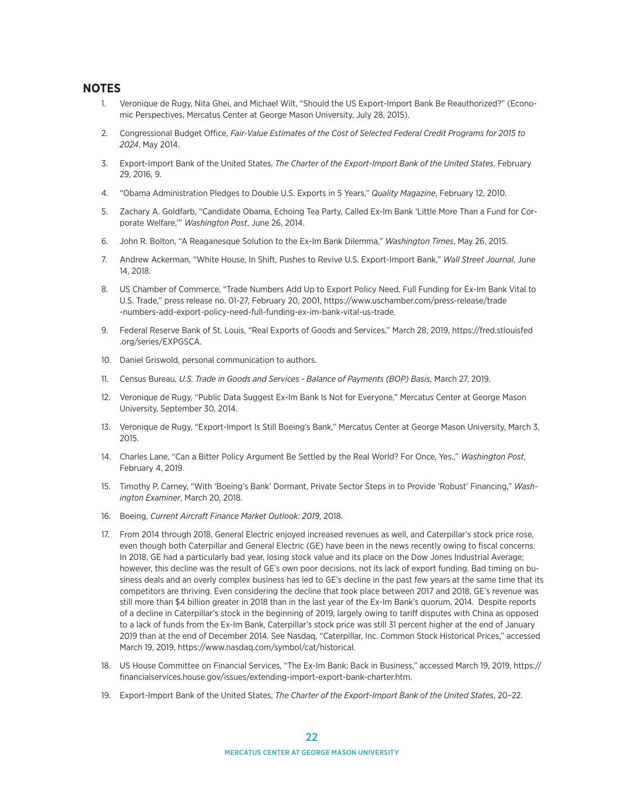#### **NOTES**

- 1. Veronique de Rugy, Nita Ghei, and Michael Wilt, "Should the US Export-Import Bank Be Reauthorized?" (Economic Perspectives, Mercatus Center at George Mason University, July 28, 2015).
- 2. Congressional Budget Office, *Fair-Value Estimates of the Cost of Selected Federal Credit Programs for 2015 to 2024*, May 2014.
- 3. Export-Import Bank of the United States, *The Charter of the Export-Import Bank of the United States*, February 29, 2016, 9.
- 4. "Obama Administration Pledges to Double U.S. Exports in 5 Years," *Quality Magazine*, February 12, 2010.
- 5. Zachary A. Goldfarb, "Candidate Obama, Echoing Tea Party, Called Ex-Im Bank 'Little More Than a Fund for Corporate Welfare,'" *Washington Post*, June 26, 2014.
- 6. John R. Bolton, "A Reaganesque Solution to the Ex-Im Bank Dilemma," *Washington Times*, May 26, 2015.
- 7. Andrew Ackerman, "White House, In Shift, Pushes to Revive U.S. Export-Import Bank," *Wall Street Journal*, June 14, 2018.
- 8. US Chamber of Commerce, "Trade Numbers Add Up to Export Policy Need, Full Funding for Ex-Im Bank Vital to U.S. Trade," press release no. 01-27, February 20, 2001, [https://www.uschamber.com/press-release/trade](https://www.uschamber.com/press-release/trade-numbers-add-export-policy-need-full-funding-ex-im-bank-vital-us-trade) [-numbers-add-export-policy-need-full-funding-ex-im-bank-vital-us-trade.](https://www.uschamber.com/press-release/trade-numbers-add-export-policy-need-full-funding-ex-im-bank-vital-us-trade)
- 9. Federal Reserve Bank of St. Louis, "Real Exports of Goods and Services," March 28, 2019, [https://fred.stlouisfed](https://fred.stlouisfed.org/series/EXPGSCA) [.org/series/EXPGSCA.](https://fred.stlouisfed.org/series/EXPGSCA)
- 10. Daniel Griswold, personal communication to authors.
- 11. Census Bureau, *U.S. Trade in Goods and Services Balance of Payments (BOP) Basis*, March 27, 2019.
- 12. Veronique de Rugy, "Public Data Suggest Ex-Im Bank Is Not for Everyone," Mercatus Center at George Mason University, September 30, 2014.
- 13. Veronique de Rugy, "Export-Import Is Still Boeing's Bank," Mercatus Center at George Mason University, March 3, 2015.
- 14. Charles Lane, "Can a Bitter Policy Argument Be Settled by the Real World? For Once, Yes.," *Washington Post*, February 4, 2019.
- 15. Timothy P. Carney, "With 'Boeing's Bank' Dormant, Private Sector Steps in to Provide 'Robust' Financing," *Washington Examiner*, March 20, 2018.
- 16. Boeing, *Current Aircraft Finance Market Outlook: 2019*, 2018.
- 17. From 2014 through 2018, General Electric enjoyed increased revenues as well, and Caterpillar's stock price rose, even though both Caterpillar and General Electric (GE) have been in the news recently owing to fiscal concerns. In 2018, GE had a particularly bad year, losing stock value and its place on the Dow Jones Industrial Average; however, this decline was the result of GE's own poor decisions, not its lack of export funding. Bad timing on business deals and an overly complex business has led to GE's decline in the past few years at the same time that its competitors are thriving. Even considering the decline that took place between 2017 and 2018, GE's revenue was still more than \$4 billion greater in 2018 than in the last year of the Ex-Im Bank's quorum, 2014. Despite reports of a decline in Caterpillar's stock in the beginning of 2019, largely owing to tariff disputes with China as opposed to a lack of funds from the Ex-Im Bank, Caterpillar's stock price was still 31 percent higher at the end of January 2019 than at the end of December 2014. See Nasdaq, "Caterpillar, Inc. Common Stock Historical Prices," accessed March 19, 2019,<https://www.nasdaq.com/symbol/cat/historical>.
- 18. US House Committee on Financial Services, "The Ex-Im Bank: Back in Business," accessed March 19, 2019, [https://](https://financialservices.house.gov/issues/extending-import-export-bank-charter.htm) [financialservices.house.gov/issues/extending-import-export-bank-charter.htm.](https://financialservices.house.gov/issues/extending-import-export-bank-charter.htm)
- 19. Export-Import Bank of the United States, *The Charter of the Export-Import Bank of the United States*, 20–22.